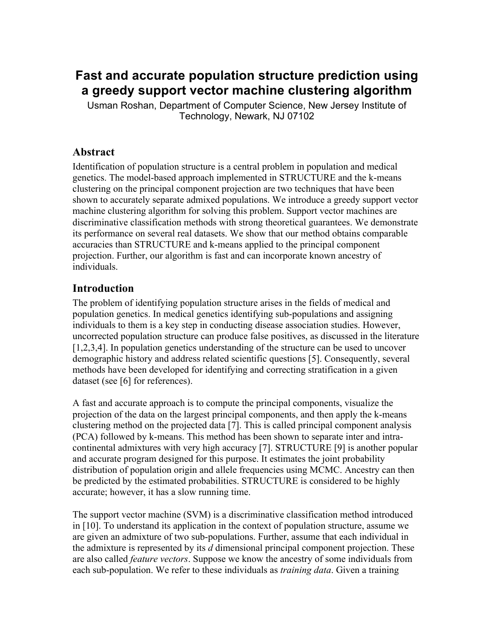# **Fast and accurate population structure prediction using a greedy support vector machine clustering algorithm**

Usman Roshan, Department of Computer Science, New Jersey Institute of Technology, Newark, NJ 07102

### **Abstract**

Identification of population structure is a central problem in population and medical genetics. The model-based approach implemented in STRUCTURE and the k-means clustering on the principal component projection are two techniques that have been shown to accurately separate admixed populations. We introduce a greedy support vector machine clustering algorithm for solving this problem. Support vector machines are discriminative classification methods with strong theoretical guarantees. We demonstrate its performance on several real datasets. We show that our method obtains comparable accuracies than STRUCTURE and k-means applied to the principal component projection. Further, our algorithm is fast and can incorporate known ancestry of individuals.

### **Introduction**

The problem of identifying population structure arises in the fields of medical and population genetics. In medical genetics identifying sub-populations and assigning individuals to them is a key step in conducting disease association studies. However, uncorrected population structure can produce false positives, as discussed in the literature [1,2,3,4]. In population genetics understanding of the structure can be used to uncover demographic history and address related scientific questions [5]. Consequently, several methods have been developed for identifying and correcting stratification in a given dataset (see [6] for references).

A fast and accurate approach is to compute the principal components, visualize the projection of the data on the largest principal components, and then apply the k-means clustering method on the projected data [7]. This is called principal component analysis (PCA) followed by k-means. This method has been shown to separate inter and intracontinental admixtures with very high accuracy [7]. STRUCTURE [9] is another popular and accurate program designed for this purpose. It estimates the joint probability distribution of population origin and allele frequencies using MCMC. Ancestry can then be predicted by the estimated probabilities. STRUCTURE is considered to be highly accurate; however, it has a slow running time.

The support vector machine (SVM) is a discriminative classification method introduced in [10]. To understand its application in the context of population structure, assume we are given an admixture of two sub-populations. Further, assume that each individual in the admixture is represented by its *d* dimensional principal component projection. These are also called *feature vectors*. Suppose we know the ancestry of some individuals from each sub-population. We refer to these individuals as *training data*. Given a training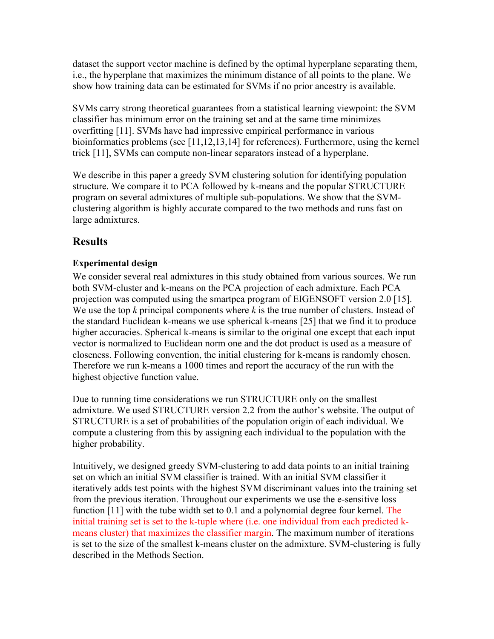dataset the support vector machine is defined by the optimal hyperplane separating them, i.e., the hyperplane that maximizes the minimum distance of all points to the plane. We show how training data can be estimated for SVMs if no prior ancestry is available.

SVMs carry strong theoretical guarantees from a statistical learning viewpoint: the SVM classifier has minimum error on the training set and at the same time minimizes overfitting [11]. SVMs have had impressive empirical performance in various bioinformatics problems (see [11,12,13,14] for references). Furthermore, using the kernel trick [11], SVMs can compute non-linear separators instead of a hyperplane.

We describe in this paper a greedy SVM clustering solution for identifying population structure. We compare it to PCA followed by k-means and the popular STRUCTURE program on several admixtures of multiple sub-populations. We show that the SVMclustering algorithm is highly accurate compared to the two methods and runs fast on large admixtures.

## **Results**

### **Experimental design**

We consider several real admixtures in this study obtained from various sources. We run both SVM-cluster and k-means on the PCA projection of each admixture. Each PCA projection was computed using the smartpca program of EIGENSOFT version 2.0 [15]. We use the top *k* principal components where *k* is the true number of clusters. Instead of the standard Euclidean k-means we use spherical k-means [25] that we find it to produce higher accuracies. Spherical k-means is similar to the original one except that each input vector is normalized to Euclidean norm one and the dot product is used as a measure of closeness. Following convention, the initial clustering for k-means is randomly chosen. Therefore we run k-means a 1000 times and report the accuracy of the run with the highest objective function value.

Due to running time considerations we run STRUCTURE only on the smallest admixture. We used STRUCTURE version 2.2 from the author's website. The output of STRUCTURE is a set of probabilities of the population origin of each individual. We compute a clustering from this by assigning each individual to the population with the higher probability.

Intuitively, we designed greedy SVM-clustering to add data points to an initial training set on which an initial SVM classifier is trained. With an initial SVM classifier it iteratively adds test points with the highest SVM discriminant values into the training set from the previous iteration. Throughout our experiments we use the e-sensitive loss function [11] with the tube width set to 0.1 and a polynomial degree four kernel. The initial training set is set to the k-tuple where (i.e. one individual from each predicted kmeans cluster) that maximizes the classifier margin. The maximum number of iterations is set to the size of the smallest k-means cluster on the admixture. SVM-clustering is fully described in the Methods Section.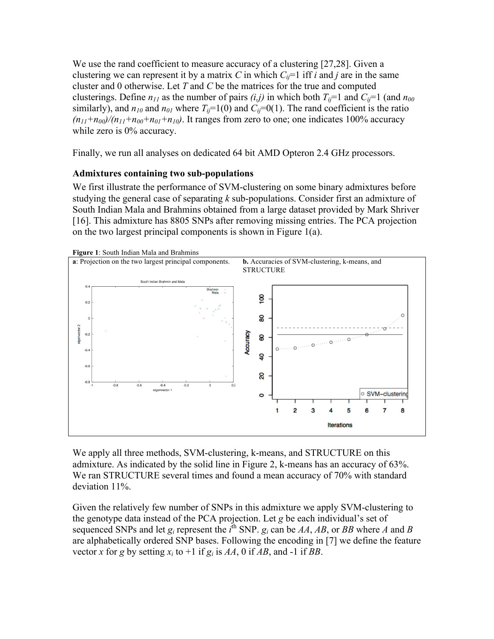We use the rand coefficient to measure accuracy of a clustering [27,28]. Given a clustering we can represent it by a matrix *C* in which  $C_i$ =1 iff *i* and *j* are in the same cluster and 0 otherwise. Let *T* and *C* be the matrices for the true and computed clusterings. Define  $n_{11}$  as the number of pairs  $(i,j)$  in which both  $T_{ij}=1$  and  $C_{ij}=1$  (and  $n_{00}$ ) similarly), and  $n_{10}$  and  $n_{01}$  where  $T_{ii}=1(0)$  and  $C_{ii}=0(1)$ . The rand coefficient is the ratio  $(n_{11}+n_{00})/(n_{11}+n_{00}+n_{01}+n_{10})$ . It ranges from zero to one; one indicates 100% accuracy while zero is 0% accuracy.

Finally, we run all analyses on dedicated 64 bit AMD Opteron 2.4 GHz processors.

#### **Admixtures containing two sub-populations**

We first illustrate the performance of SVM-clustering on some binary admixtures before studying the general case of separating *k* sub-populations. Consider first an admixture of South Indian Mala and Brahmins obtained from a large dataset provided by Mark Shriver [16]. This admixture has 8805 SNPs after removing missing entries. The PCA projection on the two largest principal components is shown in Figure 1(a).



We apply all three methods, SVM-clustering, k-means, and STRUCTURE on this admixture. As indicated by the solid line in Figure 2, k-means has an accuracy of 63%. We ran STRUCTURE several times and found a mean accuracy of 70% with standard deviation 11%.

Given the relatively few number of SNPs in this admixture we apply SVM-clustering to the genotype data instead of the PCA projection. Let *g* be each individual's set of sequenced SNPs and let  $g_i$  represent the  $i^{\text{th}}$  SNP.  $g_i$  can be  $AA$ ,  $AB$ , or  $BB$  where  $A$  and  $B$ are alphabetically ordered SNP bases. Following the encoding in [7] we define the feature vector *x* for *g* by setting  $x_i$  to +1 if  $g_i$  is AA, 0 if AB, and -1 if BB.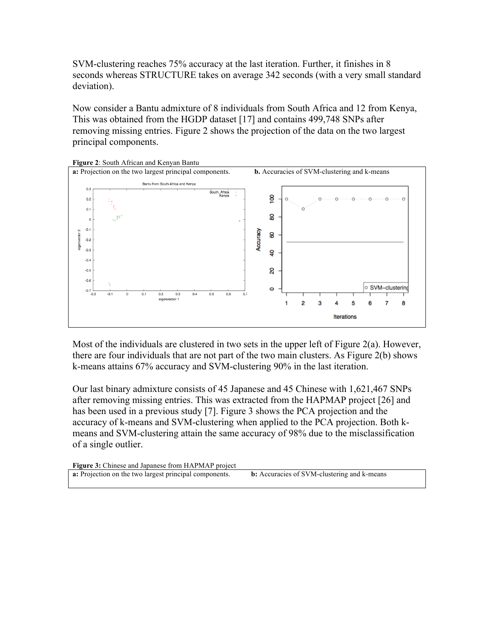SVM-clustering reaches 75% accuracy at the last iteration. Further, it finishes in 8 seconds whereas STRUCTURE takes on average 342 seconds (with a very small standard deviation).

Now consider a Bantu admixture of 8 individuals from South Africa and 12 from Kenya, This was obtained from the HGDP dataset [17] and contains 499,748 SNPs after removing missing entries. Figure 2 shows the projection of the data on the two largest principal components.



**Figure 2**: South African and Kenyan Bantu

Most of the individuals are clustered in two sets in the upper left of Figure 2(a). However, there are four individuals that are not part of the two main clusters. As Figure 2(b) shows k-means attains 67% accuracy and SVM-clustering 90% in the last iteration.

Our last binary admixture consists of 45 Japanese and 45 Chinese with 1,621,467 SNPs after removing missing entries. This was extracted from the HAPMAP project [26] and has been used in a previous study [7]. Figure 3 shows the PCA projection and the accuracy of k-means and SVM-clustering when applied to the PCA projection. Both kmeans and SVM-clustering attain the same accuracy of 98% due to the misclassification of a single outlier.

| <b>Figure 3:</b> Chinese and Japanese from HAPMAP project     |                                                    |
|---------------------------------------------------------------|----------------------------------------------------|
| <b>a:</b> Projection on the two largest principal components. | <b>b:</b> Accuracies of SVM-clustering and k-means |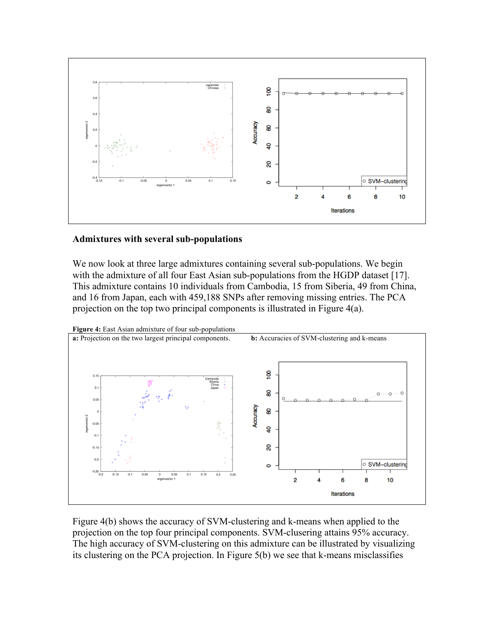

#### **Admixtures with several sub-populations**

We now look at three large admixtures containing several sub-populations. We begin with the admixture of all four East Asian sub-populations from the HGDP dataset [17]. This admixture contains 10 individuals from Cambodia, 15 from Siberia, 49 from China, and 16 from Japan, each with 459,188 SNPs after removing missing entries. The PCA projection on the top two principal components is illustrated in Figure 4(a).



Figure 4(b) shows the accuracy of SVM-clustering and k-means when applied to the projection on the top four principal components. SVM-clusering attains 95% accuracy. The high accuracy of SVM-clustering on this admixture can be illustrated by visualizing its clustering on the PCA projection. In Figure 5(b) we see that k-means misclassifies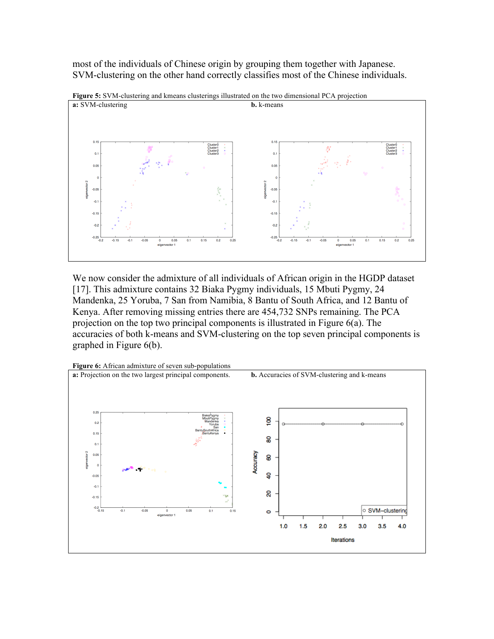most of the individuals of Chinese origin by grouping them together with Japanese. SVM-clustering on the other hand correctly classifies most of the Chinese individuals.



**Figure 5:** SVM-clustering and kmeans clusterings illustrated on the two dimensional PCA projection

We now consider the admixture of all individuals of African origin in the HGDP dataset [17]. This admixture contains 32 Biaka Pygmy individuals, 15 Mbuti Pygmy, 24 Mandenka, 25 Yoruba, 7 San from Namibia, 8 Bantu of South Africa, and 12 Bantu of Kenya. After removing missing entries there are 454,732 SNPs remaining. The PCA projection on the top two principal components is illustrated in Figure 6(a). The accuracies of both k-means and SVM-clustering on the top seven principal components is graphed in Figure 6(b).

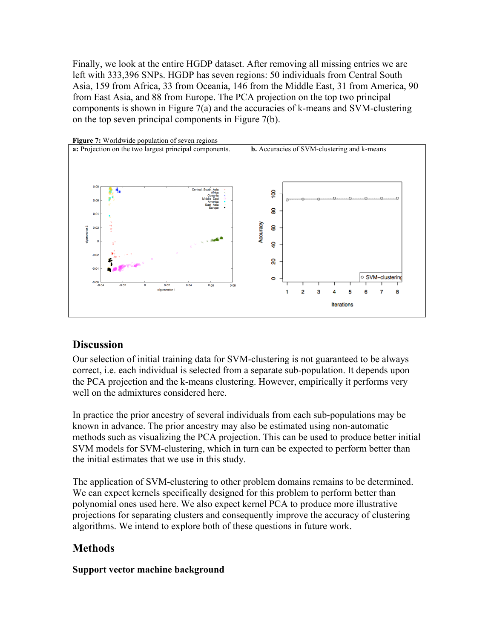Finally, we look at the entire HGDP dataset. After removing all missing entries we are left with 333,396 SNPs. HGDP has seven regions: 50 individuals from Central South Asia, 159 from Africa, 33 from Oceania, 146 from the Middle East, 31 from America, 90 from East Asia, and 88 from Europe. The PCA projection on the top two principal components is shown in Figure 7(a) and the accuracies of k-means and SVM-clustering on the top seven principal components in Figure 7(b).



#### **Figure 7:** Worldwide population of seven regions

#### **Discussion**

Our selection of initial training data for SVM-clustering is not guaranteed to be always correct, i.e. each individual is selected from a separate sub-population. It depends upon the PCA projection and the k-means clustering. However, empirically it performs very well on the admixtures considered here.

In practice the prior ancestry of several individuals from each sub-populations may be known in advance. The prior ancestry may also be estimated using non-automatic methods such as visualizing the PCA projection. This can be used to produce better initial SVM models for SVM-clustering, which in turn can be expected to perform better than the initial estimates that we use in this study.

The application of SVM-clustering to other problem domains remains to be determined. We can expect kernels specifically designed for this problem to perform better than polynomial ones used here. We also expect kernel PCA to produce more illustrative projections for separating clusters and consequently improve the accuracy of clustering algorithms. We intend to explore both of these questions in future work.

#### **Methods**

#### **Support vector machine background**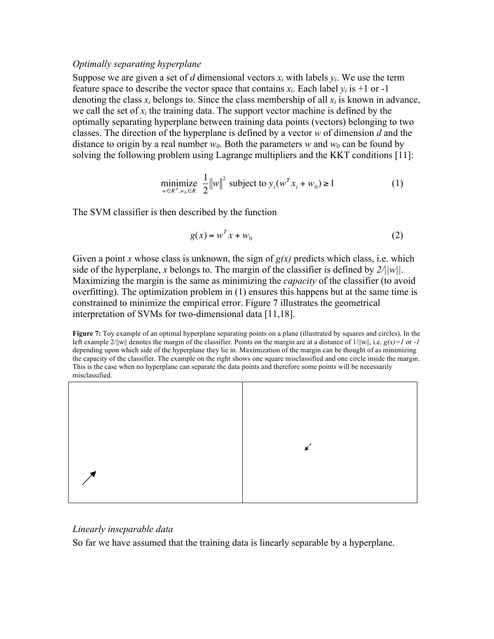#### *Optimally separating hyperplane*

Suppose we are given a set of *d* dimensional vectors  $x_i$  with labels  $y_i$ . We use the term feature space to describe the vector space that contains  $x_i$ . Each label  $y_i$  is +1 or -1 denoting the class  $x_i$  belongs to. Since the class membership of all  $x_i$  is known in advance, we call the set of  $x_i$  the training data. The support vector machine is defined by the optimally separating hyperplane between training data points (vectors) belonging to two classes. The direction of the hyperplane is defined by a vector *w* of dimension *d* and the distance to origin by a real number  $w_0$ . Both the parameters w and  $w_0$  can be found by solving the following problem using Lagrange multipliers and the KKT conditions [11]:

$$
\underset{w \in \mathbb{R}^d, w_0 \in \mathbb{R}}{\text{minimize}} \frac{1}{2} \|w\|^2 \text{ subject to } y_i(w^T x_i + w_0) \ge 1 \tag{1}
$$

The SVM classifier is then described by the function

$$
g(x) = w^T x + w_0 \tag{2}
$$

Maximizing the margin is the same as minimizing the *capacity* of the classifier (to avoid Given a point *x* whose class is unknown, the sign of  $g(x)$  predicts which class, i.e. which side of the hyperplane, *x* belongs to. The margin of the classifier is defined by  $2/||w||$ . overfitting). The optimization problem in (1) ensures this happens but at the same time is constrained to minimize the empirical error. Figure 7 illustrates the geometrical interpretation of SVMs for two-dimensional data [11,18].

**Figure 7:** Toy example of an optimal hyperplane separating points on a plane (illustrated by squares and circles). In the left example  $2/||w||$  denotes the margin of the classifier. Points on the margin are at a distance of  $1/||w||$ , i.e.  $g(x)=1$  or *-1* depending upon which side of the hyperplane they lie in. Maximization of the margin can be thought of as minimizing the capacity of the classifier. The example on the right shows one square misclassified and one circle inside the margin. This is the case when no hyperplane can separate the data points and therefore some points will be necessarily misclassified.



#### *Linearly inseparable data*

So far we have assumed that the training data is linearly separable by a hyperplane.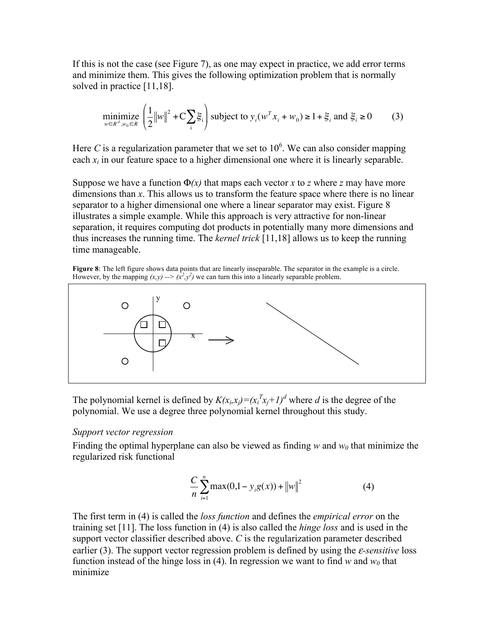If this is not the case (see Figure 7), as one may expect in practice, we add error terms and minimize them. This gives the following optimization problem that is normally solved in practice [11,18].

$$
\underset{w \in \mathbb{R}^d, w_0 \in \mathbb{R}}{\text{minimize}} \left( \frac{1}{2} \|w\|^2 + C \sum_i \xi_i \right) \text{subject to } y_i(w^T x_i + w_0) \ge 1 + \xi_i \text{ and } \xi_i \ge 0 \tag{3}
$$

Here *C* is a regularization parameter that we set to  $10<sup>6</sup>$ . We can also consider mapping each  $x_i$  in our feature space to a higher dimensional one where it is linearly separable.

Suppose we have a function  $\Phi(x)$  that maps each vector *x* to *z* where *z* may have more dimensions than *x*. This allows us to transform the feature space where there is no linear separator to a higher dimensional one where a linear separator may exist. Figure 8 illustrates a simple example. While this approach is very attractive for non-linear separation, it requires computing dot products in potentially many more dimensions and thus increases the running time. The *kernel trick* [11,18] allows us to keep the running time manageable.

**Figure 8**: The left figure shows data points that are linearly inseparable. The separator in the example is a circle. However, by the mapping  $(x, y) \rightarrow (\hat{x}^2, y^2)$  we can turn this into a linearly separable problem.



The polynomial kernel is defined by  $K(x_i, x_j) = (x_i^T x_j + 1)^d$  where *d* is the degree of the polynomial. We use a degree three polynomial kernel throughout this study.

#### *Support vector regression*

Finding the optimal hyperplane can also be viewed as finding  $w$  and  $w_0$  that minimize the regularized risk functional

$$
\frac{C}{n} \sum_{i=1}^{n} \max(0, 1 - y_i g(x)) + ||w||^2 \tag{4}
$$

support vector classifier described above.  $C$  is the regularization parameter described The first term in (4) is called the *loss function* and defines the *empirical error* on the training set [11]. The loss function in (4) is also called the *hinge loss* and is used in the earlier (3). The support vector regression problem is defined by using the ε*-sensitive* loss function instead of the hinge loss in (4). In regression we want to find *w* and  $w_0$  that minimize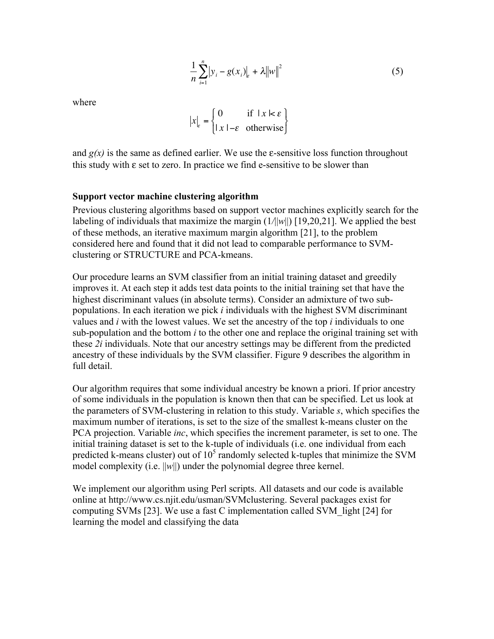$$
\frac{1}{n}\sum_{i=1}^{n} |y_i - g(x_i)|_{\varepsilon} + \lambda ||w||^2
$$
 (5)

where

$$
|x|_{\varepsilon} = \begin{cases} 0 & \text{if } |x| \leq \varepsilon \\ |x| - \varepsilon & \text{otherwise} \end{cases}
$$

 $\ddot{\phantom{0}}$ and  $g(x)$  is the same as defined earlier. We use the  $\varepsilon$ -sensitive loss function throughout this study with ε set to zero. In practice we find e-sensitive to be slower than

#### **Support vector machine clustering algorithm**

Previous clustering algorithms based on support vector machines explicitly search for the labeling of individuals that maximize the margin  $(1/||w||)$  [19,20,21]. We applied the best of these methods, an iterative maximum margin algorithm [21], to the problem considered here and found that it did not lead to comparable performance to SVMclustering or STRUCTURE and PCA-kmeans.

Our procedure learns an SVM classifier from an initial training dataset and greedily improves it. At each step it adds test data points to the initial training set that have the highest discriminant values (in absolute terms). Consider an admixture of two subpopulations. In each iteration we pick *i* individuals with the highest SVM discriminant values and *i* with the lowest values. We set the ancestry of the top *i* individuals to one sub-population and the bottom *i* to the other one and replace the original training set with these *2i* individuals. Note that our ancestry settings may be different from the predicted ancestry of these individuals by the SVM classifier. Figure 9 describes the algorithm in full detail.

Our algorithm requires that some individual ancestry be known a priori. If prior ancestry of some individuals in the population is known then that can be specified. Let us look at the parameters of SVM-clustering in relation to this study. Variable *s*, which specifies the maximum number of iterations, is set to the size of the smallest k-means cluster on the PCA projection. Variable *inc*, which specifies the increment parameter, is set to one. The initial training dataset is set to the k-tuple of individuals (i.e. one individual from each predicted k-means cluster) out of  $10<sup>5</sup>$  randomly selected k-tuples that minimize the SVM model complexity (i.e. ||*w*||) under the polynomial degree three kernel.

We implement our algorithm using Perl scripts. All datasets and our code is available online at http://www.cs.njit.edu/usman/SVMclustering. Several packages exist for computing SVMs [23]. We use a fast C implementation called SVM\_light [24] for learning the model and classifying the data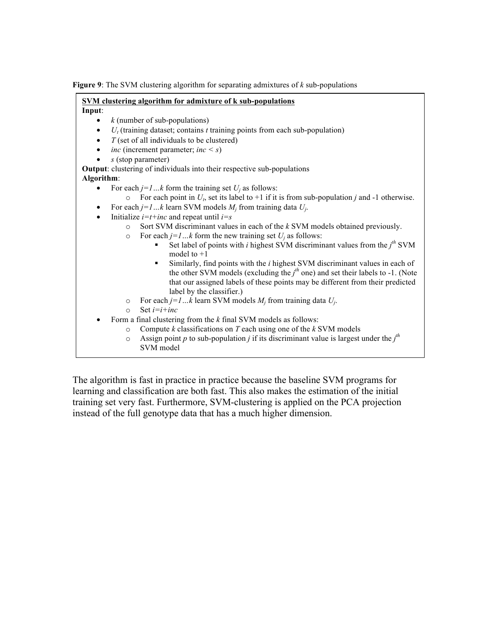**Figure 9**: The SVM clustering algorithm for separating admixtures of *k* sub-populations

| SVM clustering algorithm for admixture of k sub-populations                                                |  |
|------------------------------------------------------------------------------------------------------------|--|
| Input:                                                                                                     |  |
| $k$ (number of sub-populations)<br>٠                                                                       |  |
| $U_t$ (training dataset; contains t training points from each sub-population)                              |  |
| $T$ (set of all individuals to be clustered)<br>$\bullet$                                                  |  |
| <i>inc</i> (increment parameter; <i>inc</i> < <i>s</i> )<br>$\bullet$                                      |  |
| $s$ (stop parameter)                                                                                       |  |
| Output: clustering of individuals into their respective sub-populations                                    |  |
| Algorithm:                                                                                                 |  |
| For each $j=1k$ form the training set $U_j$ as follows:                                                    |  |
| For each point in $U_t$ , set its label to +1 if it is from sub-population j and -1 otherwise.<br>$\Omega$ |  |
| For each $j=1k$ learn SVM models $M_i$ from training data $U_i$ .                                          |  |
| Initialize $i=t+inc$ and repeat until $i=s$<br>$\bullet$                                                   |  |
| Sort SVM discriminant values in each of the $k$ SVM models obtained previously.<br>$\Omega$                |  |
| For each $j=1k$ form the new training set $U_j$ as follows:<br>$\circ$                                     |  |
| Set label of points with <i>i</i> highest SVM discriminant values from the $jth$ SVM                       |  |
| model to $+1$                                                                                              |  |
| Similarly, find points with the <i>i</i> highest SVM discriminant values in each of<br>$\blacksquare$      |  |
| the other SVM models (excluding the $jth$ one) and set their labels to -1. (Note                           |  |
| that our assigned labels of these points may be different from their predicted                             |  |
| label by the classifier.)<br>For each $j=1k$ learn SVM models $M_i$ from training data $U_i$ .             |  |
| $\circ$<br>Set $i=i+inc$<br>$\Omega$                                                                       |  |
| Form a final clustering from the $k$ final SVM models as follows:                                          |  |
| Compute $k$ classifications on $T$ each using one of the $k$ SVM models<br>$\circ$                         |  |
| Assign point p to sub-population j if its discriminant value is largest under the $jth$<br>$\circ$         |  |
| SVM model                                                                                                  |  |
|                                                                                                            |  |
|                                                                                                            |  |

The algorithm is fast in practice in practice because the baseline SVM programs for learning and classification are both fast. This also makes the estimation of the initial training set very fast. Furthermore, SVM-clustering is applied on the PCA projection instead of the full genotype data that has a much higher dimension.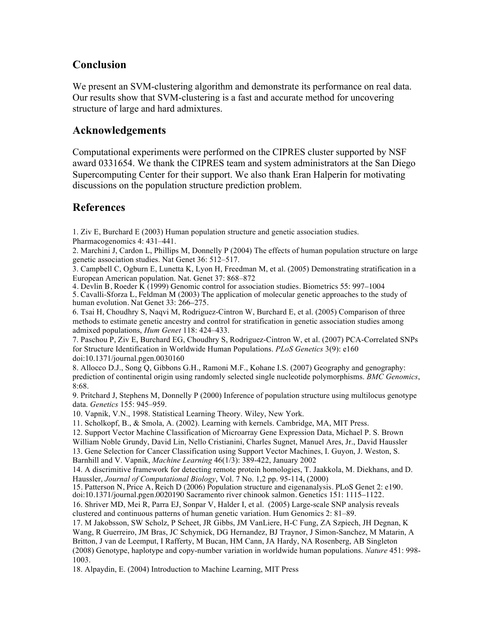### **Conclusion**

We present an SVM-clustering algorithm and demonstrate its performance on real data. Our results show that SVM-clustering is a fast and accurate method for uncovering structure of large and hard admixtures.

### **Acknowledgements**

Computational experiments were performed on the CIPRES cluster supported by NSF award 0331654. We thank the CIPRES team and system administrators at the San Diego Supercomputing Center for their support. We also thank Eran Halperin for motivating discussions on the population structure prediction problem.

### **References**

1. Ziv E, Burchard E (2003) Human population structure and genetic association studies. Pharmacogenomics 4: 431–441.

2. Marchini J, Cardon L, Phillips M, Donnelly P (2004) The effects of human population structure on large genetic association studies. Nat Genet 36: 512–517.

3. Campbell C, Ogburn E, Lunetta K, Lyon H, Freedman M, et al. (2005) Demonstrating stratification in a European American population. Nat. Genet 37: 868–872

4. Devlin B, Roeder K (1999) Genomic control for association studies. Biometrics 55: 997–1004 5. Cavalli-Sforza L, Feldman M (2003) The application of molecular genetic approaches to the study of human evolution. Nat Genet 33: 266–275.

6. Tsai H, Choudhry S, Naqvi M, Rodriguez-Cintron W, Burchard E, et al. (2005) Comparison of three methods to estimate genetic ancestry and control for stratification in genetic association studies among admixed populations, *Hum Genet* 118: 424–433.

7. Paschou P, Ziv E, Burchard EG, Choudhry S, Rodriguez-Cintron W, et al. (2007) PCA-Correlated SNPs for Structure Identification in Worldwide Human Populations. *PLoS Genetics* 3(9): e160 doi:10.1371/journal.pgen.0030160

8. Allocco D.J., Song Q, Gibbons G.H., Ramoni M.F., Kohane I.S. (2007) Geography and genography: prediction of continental origin using randomly selected single nucleotide polymorphisms. *BMC Genomics*, 8:68.

9. Pritchard J, Stephens M, Donnelly P (2000) Inference of population structure using multilocus genotype data. *Genetics* 155: 945–959.

10. Vapnik, V.N., 1998. Statistical Learning Theory. Wiley, New York.

11. Scholkopf, B., & Smola, A. (2002). Learning with kernels. Cambridge, MA, MIT Press.

12. Support Vector Machine Classification of Microarray Gene Expression Data, Michael P. S. Brown

William Noble Grundy, David Lin, Nello Cristianini, Charles Sugnet, Manuel Ares, Jr., David Haussler

13. Gene Selection for Cancer Classification using Support Vector Machines, I. Guyon, J. Weston, S. Barnhill and V. Vapnik, *Machine Learning* 46(1/3): 389-422, January 2002

14. A discrimitive framework for detecting remote protein homologies, T. Jaakkola, M. Diekhans, and D. Haussler, *Journal of Computational Biology*, Vol. 7 No. 1,2 pp. 95-114, (2000)

15. Patterson N, Price A, Reich D (2006) Population structure and eigenanalysis. PLoS Genet 2: e190. doi:10.1371/journal.pgen.0020190 Sacramento river chinook salmon. Genetics 151: 1115–1122.

16. Shriver MD, Mei R, Parra EJ, Sonpar V, Halder I, et al. (2005) Large-scale SNP analysis reveals clustered and continuous patterns of human genetic variation. Hum Genomics 2: 81–89.

17. M Jakobsson, SW Scholz, P Scheet, JR Gibbs, JM VanLiere, H-C Fung, ZA Szpiech, JH Degnan, K Wang, R Guerreiro, JM Bras, JC Schymick, DG Hernandez, BJ Traynor, J Simon-Sanchez, M Matarin, A Britton, J van de Leemput, I Rafferty, M Bucan, HM Cann, JA Hardy, NA Rosenberg, AB Singleton (2008) Genotype, haplotype and copy-number variation in worldwide human populations. *Nature* 451: 998- 1003.

18. Alpaydin, E. (2004) Introduction to Machine Learning, MIT Press